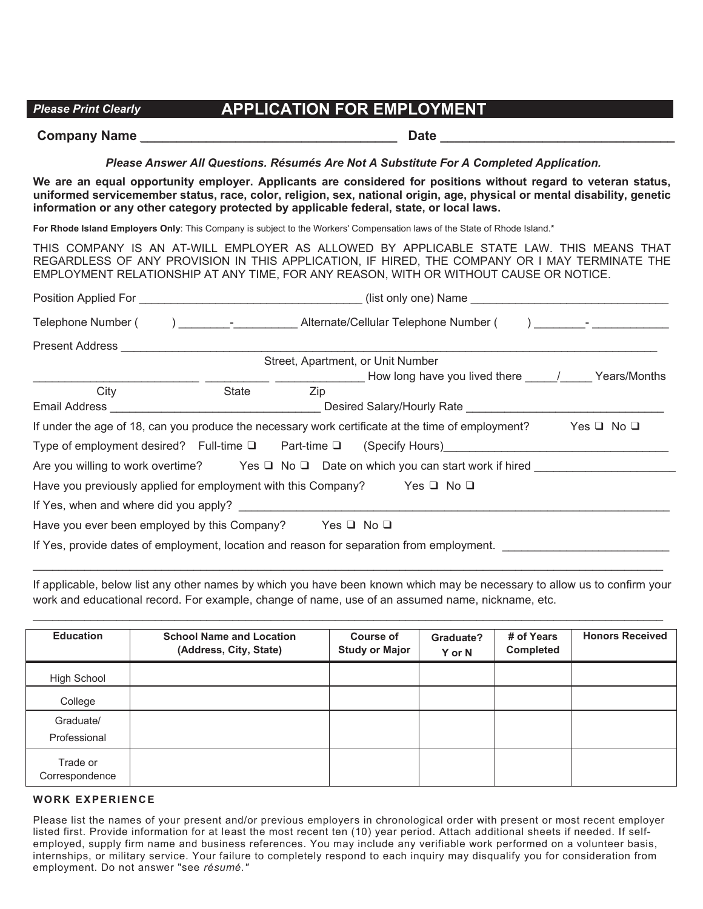# *Please Print Clearly* **APPLICATION FOR EMPLOYMENT**

# **Company Name \_\_\_\_\_\_\_\_\_\_\_\_\_\_\_\_\_\_\_\_\_\_\_\_\_\_\_\_\_\_\_\_\_\_\_ Date \_\_\_\_\_\_\_\_\_\_\_\_\_\_\_\_\_\_\_\_\_\_\_\_\_\_\_\_\_\_\_\_**

## *ease Print Clearly* **MENT** *Please Answer All Questions. Résumés Are Not A Substitute For A Completed Application.*

**We are an equal opportunity employer. Applicants are considered for positions without regard to veteran status, uniformed servicemember status, race, color, religion, sex, national origin, age, physical or mental disability, genetic information or any other category protected by applicable federal, state, or local laws.**

**For Rhode Island Employers Only**: This Company is subject to the Workers' Compensation laws of the State of Rhode Island.\*

THIS COMPANY IS AN AT-WILL EMPLOYER AS ALLOWED BY APPLICABLE STATE LAW. THIS MEANS THAT REGARDLESS OF ANY PROVISION IN THIS APPLICATION, IF HIRED, THE COMPANY OR I MAY TERMINATE THE EMPLOYMENT RELATIONSHIP AT ANY TIME, FOR ANY REASON, WITH OR WITHOUT CAUSE OR NOTICE.

| Telephone Number (                                                                 | ) and a liternate/Cellular Telephone Number (and a literature of the set of the set of the set of the set of t |     |                                                                                                   |                        |  |
|------------------------------------------------------------------------------------|----------------------------------------------------------------------------------------------------------------|-----|---------------------------------------------------------------------------------------------------|------------------------|--|
| Present Address <b>Exercise Servers</b>                                            |                                                                                                                |     |                                                                                                   |                        |  |
|                                                                                    |                                                                                                                |     | Street, Apartment, or Unit Number                                                                 |                        |  |
|                                                                                    |                                                                                                                |     |                                                                                                   |                        |  |
| City                                                                               | State                                                                                                          | Zip |                                                                                                   |                        |  |
| Email Address_                                                                     | <u> 1989 - Johann Barbara, martxa alemaniar a</u>                                                              |     |                                                                                                   |                        |  |
|                                                                                    |                                                                                                                |     | If under the age of 18, can you produce the necessary work certificate at the time of employment? | $Yes \sqcup No \sqcup$ |  |
|                                                                                    |                                                                                                                |     | Type of employment desired? Full-time $\square$ Part-time $\square$ (Specify Hours)               |                        |  |
|                                                                                    |                                                                                                                |     | Are you willing to work overtime? Yes $\Box$ No $\Box$ Date on which you can start work if hired  |                        |  |
| Have you previously applied for employment with this Company? Yes $\Box$ No $\Box$ |                                                                                                                |     |                                                                                                   |                        |  |
| If Yes, when and where did you apply?                                              |                                                                                                                |     |                                                                                                   |                        |  |
| Have you ever been employed by this Company? Yes $\Box$ No $\Box$                  |                                                                                                                |     |                                                                                                   |                        |  |
|                                                                                    |                                                                                                                |     | If Yes, provide dates of employment, location and reason for separation from employment.          |                        |  |

If applicable, below list any other names by which you have been known which may be necessary to allow us to confirm your work and educational record. For example, change of name, use of an assumed name, nickname, etc.

\_\_\_\_\_\_\_\_\_\_\_\_\_\_\_\_\_\_\_\_\_\_\_\_\_\_\_\_\_\_\_\_\_\_\_\_\_\_\_\_\_\_\_\_\_\_\_\_\_\_\_\_\_\_\_\_\_\_\_\_\_\_\_\_\_\_\_\_\_\_\_\_\_\_\_\_\_\_\_\_\_\_\_\_\_\_\_\_\_\_\_\_\_\_\_\_\_\_

\_\_\_\_\_\_\_\_\_\_\_\_\_\_\_\_\_\_\_\_\_\_\_\_\_\_\_\_\_\_\_\_\_\_\_\_\_\_\_\_\_\_\_\_\_\_\_\_\_\_\_\_\_\_\_\_\_\_\_\_\_\_\_\_\_\_\_\_\_\_\_\_\_\_\_\_\_\_\_\_\_\_\_\_\_\_\_\_\_\_\_\_\_\_\_\_\_\_

| <b>Education</b>           | <b>School Name and Location</b><br>(Address, City, State) | <b>Course of</b><br><b>Study or Major</b> | Graduate?<br>Y or N | # of Years<br><b>Completed</b> | <b>Honors Received</b> |
|----------------------------|-----------------------------------------------------------|-------------------------------------------|---------------------|--------------------------------|------------------------|
| High School                |                                                           |                                           |                     |                                |                        |
| College                    |                                                           |                                           |                     |                                |                        |
| Graduate/<br>Professional  |                                                           |                                           |                     |                                |                        |
| Trade or<br>Correspondence |                                                           |                                           |                     |                                |                        |

#### **WORK EXPERIENCE**

Please list the names of your present and/or previous employers in chronological order with present or most recent employer listed first. Provide information for at least the most recent ten (10) year period. Attach additional sheets if needed. If selfemployed, supply firm name and business references. You may include any verifiable work performed on a volunteer basis, internships, or military service. Your failure to completely respond to each inquiry may disqualify you for consideration from employment. Do not answer "see *résumé."*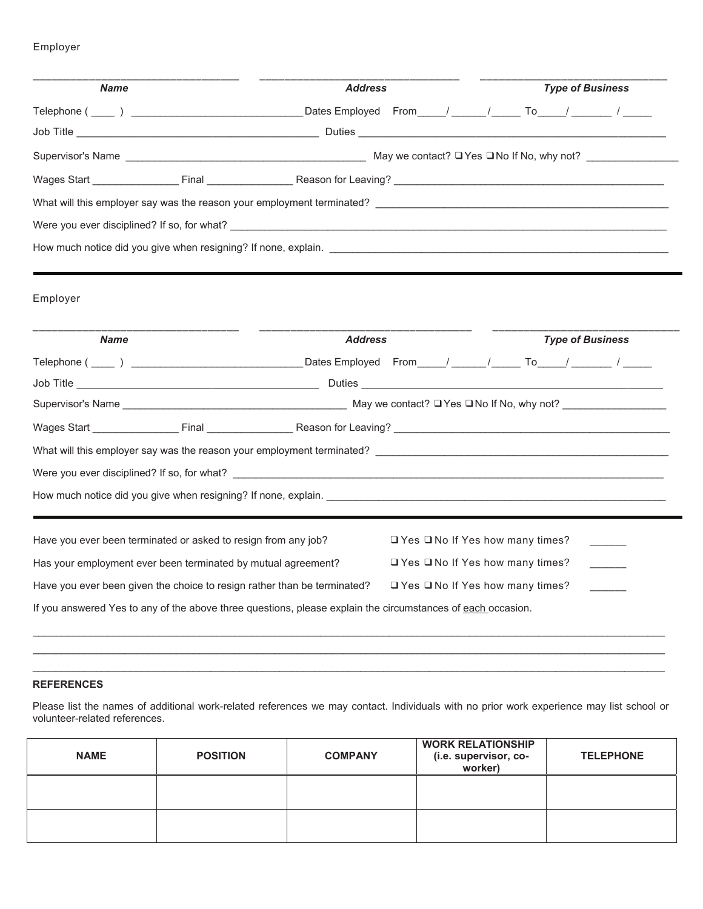## Employer

| <b>Name</b> |                                                                                                                         | <b>Address</b> |                                             | <b>Type of Business</b> |  |
|-------------|-------------------------------------------------------------------------------------------------------------------------|----------------|---------------------------------------------|-------------------------|--|
|             |                                                                                                                         |                |                                             |                         |  |
|             |                                                                                                                         |                |                                             |                         |  |
|             | Supervisor's Name <b>National Contract Act of Contract Act of Contract Act of Contract ?</b> □ Yes □ No If No, why not? |                |                                             |                         |  |
|             |                                                                                                                         |                |                                             |                         |  |
|             |                                                                                                                         |                |                                             |                         |  |
|             |                                                                                                                         |                |                                             |                         |  |
|             |                                                                                                                         |                |                                             |                         |  |
|             |                                                                                                                         |                |                                             |                         |  |
| Employer    |                                                                                                                         |                |                                             |                         |  |
|             |                                                                                                                         |                |                                             |                         |  |
| <b>Name</b> |                                                                                                                         | <b>Address</b> |                                             | <b>Type of Business</b> |  |
|             |                                                                                                                         |                |                                             |                         |  |
|             |                                                                                                                         |                |                                             |                         |  |
|             |                                                                                                                         |                |                                             |                         |  |
|             |                                                                                                                         |                |                                             |                         |  |
|             | What will this employer say was the reason your employment terminated?                                                  |                |                                             |                         |  |
|             |                                                                                                                         |                |                                             |                         |  |
|             |                                                                                                                         |                |                                             |                         |  |
|             |                                                                                                                         |                |                                             |                         |  |
|             |                                                                                                                         |                |                                             |                         |  |
|             | Have you ever been terminated or asked to resign from any job?                                                          |                | □ Yes □ No If Yes how many times?           |                         |  |
|             | Has your employment ever been terminated by mutual agreement?                                                           |                | $\Box$ Yes $\Box$ No If Yes how many times? |                         |  |
|             | Have you ever been given the choice to resign rather than be terminated?                                                |                | $\Box$ Yes $\Box$ No If Yes how many times? |                         |  |

#### **REFERENCES**

Please list the names of additional work-related references we may contact. Individuals with no prior work experience may list school or volunteer-related references.

 $\_$  , and the set of the set of the set of the set of the set of the set of the set of the set of the set of the set of the set of the set of the set of the set of the set of the set of the set of the set of the set of th \_\_\_\_\_\_\_\_\_\_\_\_\_\_\_\_\_\_\_\_\_\_\_\_\_\_\_\_\_\_\_\_\_\_\_\_\_\_\_\_\_\_\_\_\_\_\_\_\_\_\_\_\_\_\_\_\_\_\_\_\_\_\_\_\_\_\_\_\_\_\_\_\_\_\_\_\_\_\_\_\_\_\_\_\_\_\_\_\_\_\_\_\_\_\_\_\_\_\_\_\_\_\_\_\_\_\_\_\_\_

| <b>NAME</b> | <b>POSITION</b> | <b>COMPANY</b> | <b>WORK RELATIONSHIP</b><br>(i.e. supervisor, co-<br>worker) | <b>TELEPHONE</b> |
|-------------|-----------------|----------------|--------------------------------------------------------------|------------------|
|             |                 |                |                                                              |                  |
|             |                 |                |                                                              |                  |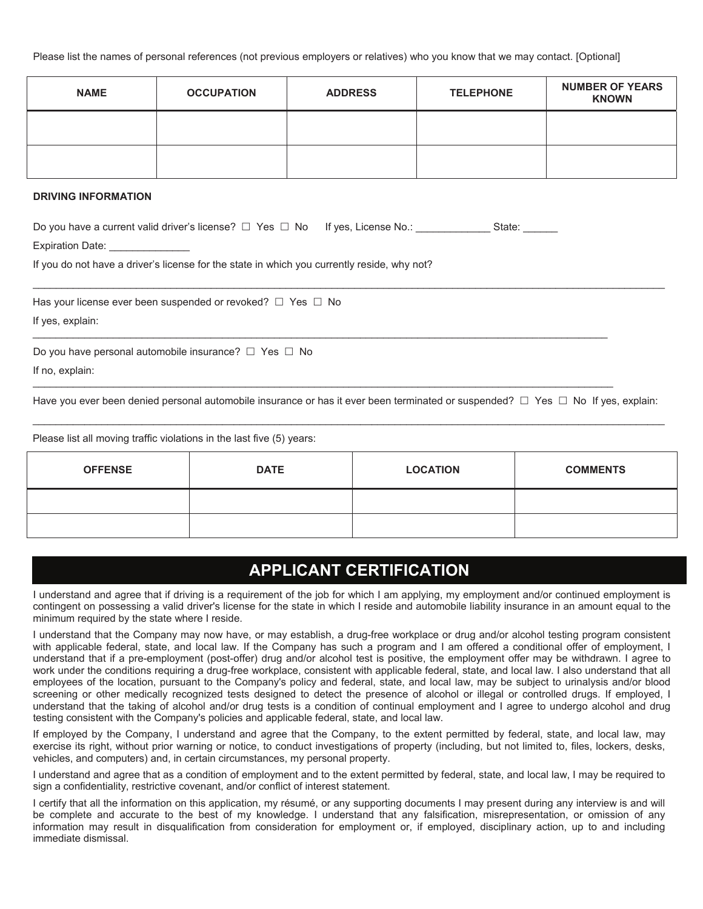Please list the names of personal references (not previous employers or relatives) who you know that we may contact. [Optional]

| <b>NAME</b> | <b>OCCUPATION</b> | <b>ADDRESS</b> | <b>TELEPHONE</b> | <b>NUMBER OF YEARS</b><br><b>KNOWN</b> |
|-------------|-------------------|----------------|------------------|----------------------------------------|
|             |                   |                |                  |                                        |
|             |                   |                |                  |                                        |

#### **DRIVING INFORMATION**

| Do you have a current valid driver's license? $\Box$ Yes $\Box$ No If yes, License No.: | State: |
|-----------------------------------------------------------------------------------------|--------|
| <b>Expiration Date:</b>                                                                 |        |

If you do not have a driver's license for the state in which you currently reside, why not?

Has your license ever been suspended or revoked?  $\Box$  Yes  $\Box$  No

If yes, explain:

Do you have personal automobile insurance?  $\Box$  Yes  $\Box$  No

If no, explain:

Have you ever been denied personal automobile insurance or has it ever been terminated or suspended?  $\Box$  Yes  $\Box$  No If yes, explain:  $\_$  , and the set of the set of the set of the set of the set of the set of the set of the set of the set of the set of the set of the set of the set of the set of the set of the set of the set of the set of the set of th

\_\_\_\_\_\_\_\_\_\_\_\_\_\_\_\_\_\_\_\_\_\_\_\_\_\_\_\_\_\_\_\_\_\_\_\_\_\_\_\_\_\_\_\_\_\_\_\_\_\_\_\_\_\_\_\_\_\_\_\_\_\_\_\_\_\_\_\_\_\_\_\_\_\_\_\_\_\_\_\_\_\_\_\_\_\_\_\_\_\_\_\_\_\_\_\_\_\_\_\_

 $\_$  , and the set of the set of the set of the set of the set of the set of the set of the set of the set of the set of the set of the set of the set of the set of the set of the set of the set of the set of the set of th

 $\_$  , and the set of the set of the set of the set of the set of the set of the set of the set of the set of the set of the set of the set of the set of the set of the set of the set of the set of the set of the set of th

Please list all moving traffic violations in the last five (5) years:

| <b>OFFENSE</b> | <b>DATE</b> | <b>LOCATION</b> | <b>COMMENTS</b> |
|----------------|-------------|-----------------|-----------------|
|                |             |                 |                 |
|                |             |                 |                 |

# **APPLICANT CERTIFICATION**

I understand and agree that if driving is a requirement of the job for which I am applying, my employment and/or continued employment is contingent on possessing a valid driver's license for the state in which I reside and automobile liability insurance in an amount equal to the minimum required by the state where I reside.

I understand that the Company may now have, or may establish, a drug-free workplace or drug and/or alcohol testing program consistent with applicable federal, state, and local law. If the Company has such a program and I am offered a conditional offer of employment, I understand that if a pre-employment (post-offer) drug and/or alcohol test is positive, the employment offer may be withdrawn. I agree to work under the conditions requiring a drug-free workplace, consistent with applicable federal, state, and local law. I also understand that all employees of the location, pursuant to the Company's policy and federal, state, and local law, may be subject to urinalysis and/or blood screening or other medically recognized tests designed to detect the presence of alcohol or illegal or controlled drugs. If employed, I understand that the taking of alcohol and/or drug tests is a condition of continual employment and I agree to undergo alcohol and drug testing consistent with the Company's policies and applicable federal, state, and local law.

If employed by the Company, I understand and agree that the Company, to the extent permitted by federal, state, and local law, may exercise its right, without prior warning or notice, to conduct investigations of property (including, but not limited to, files, lockers, desks, vehicles, and computers) and, in certain circumstances, my personal property.

I understand and agree that as a condition of employment and to the extent permitted by federal, state, and local law, I may be required to sign a confidentiality, restrictive covenant, and/or conflict of interest statement.

I certify that all the information on this application, my résumé, or any supporting documents I may present during any interview is and will be complete and accurate to the best of my knowledge. I understand that any falsification, misrepresentation, or omission of any information may result in disqualification from consideration for employment or, if employed, disciplinary action, up to and including immediate dismissal.